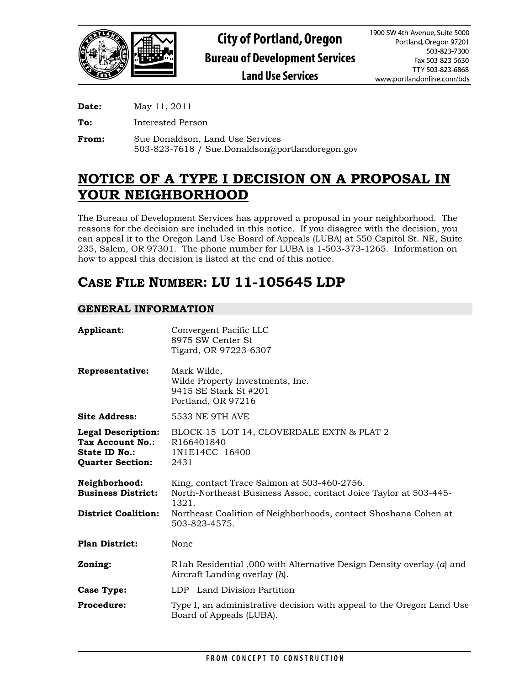

**Date:** May 11, 2011 **To:** Interested Person **From:** Sue Donaldson, Land Use Services 503-823-7618 / Sue.Donaldson@portlandoregon.gov

# **NOTICE OF A TYPE I DECISION ON A PROPOSAL IN YOUR NEIGHBORHOOD**

The Bureau of Development Services has approved a proposal in your neighborhood. The reasons for the decision are included in this notice. If you disagree with the decision, you can appeal it to the Oregon Land Use Board of Appeals (LUBA) at 550 Capitol St. NE, Suite 235, Salem, OR 97301. The phone number for LUBA is 1-503-373-1265. Information on how to appeal this decision is listed at the end of this notice.

# **CASE FILE NUMBER: LU 11-105645 LDP**

# **GENERAL INFORMATION**

| Applicant:                                                                                       | Convergent Pacific LLC<br>8975 SW Center St<br>Tigard, OR 97223-6307                                                     |  |
|--------------------------------------------------------------------------------------------------|--------------------------------------------------------------------------------------------------------------------------|--|
| <b>Representative:</b>                                                                           | Mark Wilde,<br>Wilde Property Investments, Inc.<br>9415 SE Stark St #201<br>Portland, OR 97216                           |  |
| <b>Site Address:</b>                                                                             | <b>5533 NE 9TH AVE</b>                                                                                                   |  |
| Legal Description:<br><b>Tax Account No.:</b><br><b>State ID No.:</b><br><b>Quarter Section:</b> | BLOCK 15 LOT 14, CLOVERDALE EXTN & PLAT 2<br>R166401840<br>1N1E14CC 16400<br>2431                                        |  |
| Neighborhood:<br><b>Business District:</b>                                                       | King, contact Trace Salmon at 503-460-2756.<br>North-Northeast Business Assoc, contact Joice Taylor at 503-445-<br>1321. |  |
| <b>District Coalition:</b>                                                                       | Northeast Coalition of Neighborhoods, contact Shoshana Cohen at<br>503-823-4575.                                         |  |
| <b>Plan District:</b>                                                                            | None                                                                                                                     |  |
| Zoning:                                                                                          | R1ah Residential ,000 with Alternative Design Density overlay ( $a$ ) and<br>Aircraft Landing overlay (h).               |  |
| <b>Case Type:</b>                                                                                | LDP Land Division Partition                                                                                              |  |
| <b>Procedure:</b>                                                                                | Type I, an administrative decision with appeal to the Oregon Land Use<br>Board of Appeals (LUBA).                        |  |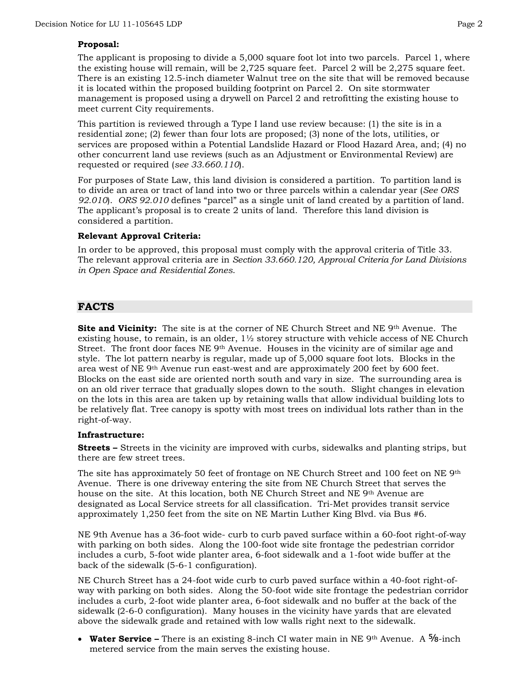#### **Proposal:**

The applicant is proposing to divide a 5,000 square foot lot into two parcels. Parcel 1, where the existing house will remain, will be 2,725 square feet. Parcel 2 will be 2,275 square feet. There is an existing 12.5-inch diameter Walnut tree on the site that will be removed because it is located within the proposed building footprint on Parcel 2. On site stormwater management is proposed using a drywell on Parcel 2 and retrofitting the existing house to meet current City requirements.

This partition is reviewed through a Type I land use review because: (1) the site is in a residential zone; (2) fewer than four lots are proposed; (3) none of the lots, utilities, or services are proposed within a Potential Landslide Hazard or Flood Hazard Area, and; (4) no other concurrent land use reviews (such as an Adjustment or Environmental Review) are requested or required (*see 33.660.110*).

For purposes of State Law, this land division is considered a partition. To partition land is to divide an area or tract of land into two or three parcels within a calendar year (*See ORS 92.010*). *ORS 92.010* defines "parcel" as a single unit of land created by a partition of land. The applicant's proposal is to create 2 units of land. Therefore this land division is considered a partition.

## **Relevant Approval Criteria:**

In order to be approved, this proposal must comply with the approval criteria of Title 33. The relevant approval criteria are in *Section 33.660.120, Approval Criteria for Land Divisions in Open Space and Residential Zones*.

# **FACTS**

**Site and Vicinity:** The site is at the corner of NE Church Street and NE 9<sup>th</sup> Avenue. The existing house, to remain, is an older,  $1\frac{1}{2}$  storey structure with vehicle access of NE Church Street. The front door faces NE  $9<sup>th</sup>$  Avenue. Houses in the vicinity are of similar age and style. The lot pattern nearby is regular, made up of 5,000 square foot lots. Blocks in the area west of NE 9th Avenue run east-west and are approximately 200 feet by 600 feet. Blocks on the east side are oriented north south and vary in size. The surrounding area is on an old river terrace that gradually slopes down to the south. Slight changes in elevation on the lots in this area are taken up by retaining walls that allow individual building lots to be relatively flat. Tree canopy is spotty with most trees on individual lots rather than in the right-of-way.

#### **Infrastructure:**

**Streets –** Streets in the vicinity are improved with curbs, sidewalks and planting strips, but there are few street trees.

The site has approximately 50 feet of frontage on NE Church Street and 100 feet on NE 9th Avenue. There is one driveway entering the site from NE Church Street that serves the house on the site. At this location, both NE Church Street and NE 9<sup>th</sup> Avenue are designated as Local Service streets for all classification. Tri-Met provides transit service approximately 1,250 feet from the site on NE Martin Luther King Blvd. via Bus #6.

NE 9th Avenue has a 36-foot wide- curb to curb paved surface within a 60-foot right-of-way with parking on both sides. Along the 100-foot wide site frontage the pedestrian corridor includes a curb, 5-foot wide planter area, 6-foot sidewalk and a 1-foot wide buffer at the back of the sidewalk (5-6-1 configuration).

NE Church Street has a 24-foot wide curb to curb paved surface within a 40-foot right-ofway with parking on both sides. Along the 50-foot wide site frontage the pedestrian corridor includes a curb, 2-foot wide planter area, 6-foot sidewalk and no buffer at the back of the sidewalk (2-6-0 configuration). Many houses in the vicinity have yards that are elevated above the sidewalk grade and retained with low walls right next to the sidewalk.

**Water Service** – There is an existing 8-inch CI water main in NE 9<sup>th</sup> Avenue. A <sup>5</sup>/8-inch metered service from the main serves the existing house.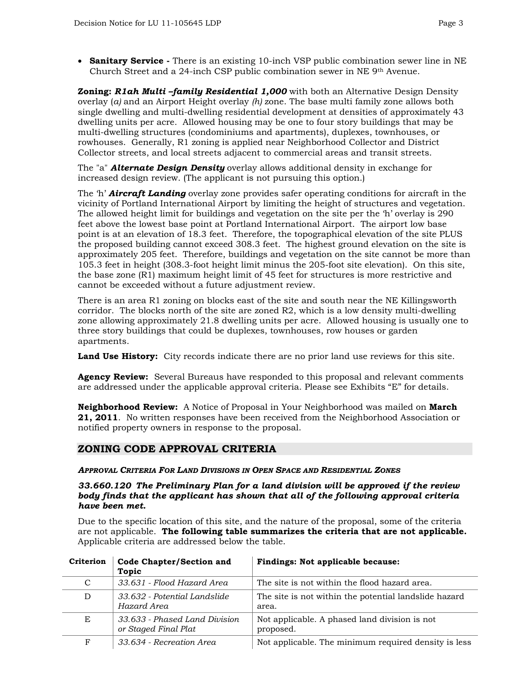• **Sanitary Service -** There is an existing 10-inch VSP public combination sewer line in NE Church Street and a 24-inch CSP public combination sewer in NE 9th Avenue.

**Zoning:** *R1ah Multi –family Residential 1,000* with both an Alternative Design Density overlay (*a)* and an Airport Height overlay *(h)* zone. The base multi family zone allows both single dwelling and multi-dwelling residential development at densities of approximately 43 dwelling units per acre. Allowed housing may be one to four story buildings that may be multi-dwelling structures (condominiums and apartments), duplexes, townhouses, or rowhouses. Generally, R1 zoning is applied near Neighborhood Collector and District Collector streets, and local streets adjacent to commercial areas and transit streets.

The "a" *Alternate Design Density* overlay allows additional density in exchange for increased design review. (The applicant is not pursuing this option.)

The 'h' *Aircraft Landing* overlay zone provides safer operating conditions for aircraft in the vicinity of Portland International Airport by limiting the height of structures and vegetation. The allowed height limit for buildings and vegetation on the site per the 'h' overlay is 290 feet above the lowest base point at Portland International Airport. The airport low base point is at an elevation of 18.3 feet. Therefore, the topographical elevation of the site PLUS the proposed building cannot exceed 308.3 feet. The highest ground elevation on the site is approximately 205 feet. Therefore, buildings and vegetation on the site cannot be more than 105.3 feet in height (308.3-foot height limit minus the 205-foot site elevation). On this site, the base zone (R1) maximum height limit of 45 feet for structures is more restrictive and cannot be exceeded without a future adjustment review.

There is an area R1 zoning on blocks east of the site and south near the NE Killingsworth corridor. The blocks north of the site are zoned R2, which is a low density multi-dwelling zone allowing approximately 21.8 dwelling units per acre. Allowed housing is usually one to three story buildings that could be duplexes, townhouses, row houses or garden apartments.

**Land Use History:** City records indicate there are no prior land use reviews for this site.

**Agency Review:** Several Bureaus have responded to this proposal and relevant comments are addressed under the applicable approval criteria. Please see Exhibits "E" for details.

**Neighborhood Review:** A Notice of Proposal in Your Neighborhood was mailed on **March 21, 2011**. No written responses have been received from the Neighborhood Association or notified property owners in response to the proposal.

# **ZONING CODE APPROVAL CRITERIA**

*APPROVAL CRITERIA FOR LAND DIVISIONS IN OPEN SPACE AND RESIDENTIAL ZONES* 

*33.660.120 The Preliminary Plan for a land division will be approved if the review body finds that the applicant has shown that all of the following approval criteria have been met.* 

Due to the specific location of this site, and the nature of the proposal, some of the criteria are not applicable. **The following table summarizes the criteria that are not applicable.**  Applicable criteria are addressed below the table.

| Criterion | Code Chapter/Section and<br>Topic                     | Findings: Not applicable because:                              |
|-----------|-------------------------------------------------------|----------------------------------------------------------------|
| C         | 33.631 - Flood Hazard Area                            | The site is not within the flood hazard area.                  |
| D         | 33.632 - Potential Landslide<br>Hazard Area           | The site is not within the potential landslide hazard<br>area. |
| E         | 33.633 - Phased Land Division<br>or Staged Final Plat | Not applicable. A phased land division is not<br>proposed.     |
| F         | 33.634 - Recreation Area                              | Not applicable. The minimum required density is less           |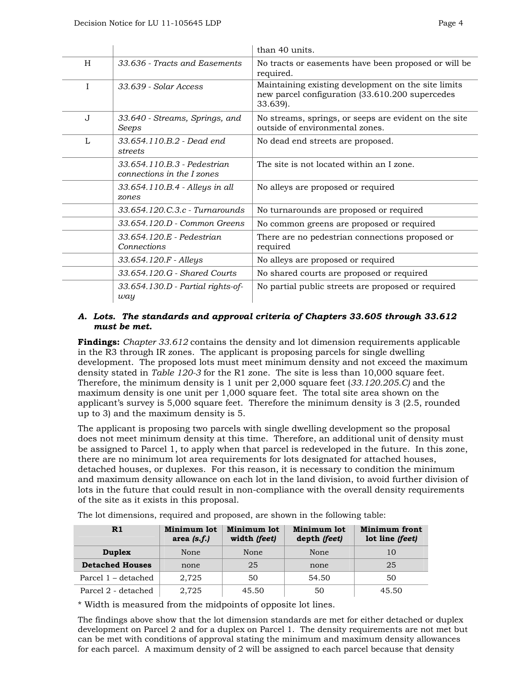|--|--|

|   |                                                           | than 40 units.                                                                                                     |
|---|-----------------------------------------------------------|--------------------------------------------------------------------------------------------------------------------|
| H | 33.636 - Tracts and Easements                             | No tracts or easements have been proposed or will be<br>required.                                                  |
| I | 33.639 - Solar Access                                     | Maintaining existing development on the site limits<br>new parcel configuration (33.610.200 supercedes<br>33.639). |
| J | 33.640 - Streams, Springs, and<br>Seeps                   | No streams, springs, or seeps are evident on the site<br>outside of environmental zones.                           |
| L | 33.654.110.B.2 - Dead end<br>streets                      | No dead end streets are proposed.                                                                                  |
|   | 33.654.110.B.3 - Pedestrian<br>connections in the I zones | The site is not located within an I zone.                                                                          |
|   | 33.654.110.B.4 - Alleys in all<br>zones                   | No alleys are proposed or required                                                                                 |
|   | 33.654.120.C.3.c - Turnarounds                            | No turnarounds are proposed or required                                                                            |
|   | 33.654.120.D - Common Greens                              | No common greens are proposed or required                                                                          |
|   | 33.654.120.E - Pedestrian<br>Connections                  | There are no pedestrian connections proposed or<br>required                                                        |
|   | 33.654.120.F - Alleys                                     | No alleys are proposed or required                                                                                 |
|   | 33.654.120.G - Shared Courts                              | No shared courts are proposed or required                                                                          |
|   | 33.654.130.D - Partial rights-of-<br>way                  | No partial public streets are proposed or required                                                                 |

## *A. Lots. The standards and approval criteria of Chapters 33.605 through 33.612 must be met.*

**Findings:** *Chapter 33.612* contains the density and lot dimension requirements applicable in the R3 through IR zones. The applicant is proposing parcels for single dwelling development. The proposed lots must meet minimum density and not exceed the maximum density stated in *Table 120-3* for the R1 zone. The site is less than 10,000 square feet. Therefore, the minimum density is 1 unit per 2,000 square feet (*33.120.205.C)* and the maximum density is one unit per 1,000 square feet. The total site area shown on the applicant's survey is 5,000 square feet. Therefore the minimum density is 3 (2.5, rounded up to 3) and the maximum density is 5.

The applicant is proposing two parcels with single dwelling development so the proposal does not meet minimum density at this time. Therefore, an additional unit of density must be assigned to Parcel 1, to apply when that parcel is redeveloped in the future. In this zone, there are no minimum lot area requirements for lots designated for attached houses, detached houses, or duplexes. For this reason, it is necessary to condition the minimum and maximum density allowance on each lot in the land division, to avoid further division of lots in the future that could result in non-compliance with the overall density requirements of the site as it exists in this proposal.

| R1                     | Minimum lot<br>area $(s.f.)$ | Minimum lot<br>width (feet) | Minimum lot<br>depth (feet) | <b>Minimum front</b><br>lot line (feet) |
|------------------------|------------------------------|-----------------------------|-----------------------------|-----------------------------------------|
| <b>Duplex</b>          | None                         | None                        | None                        | 10                                      |
| <b>Detached Houses</b> | none                         | 25                          | none                        | 25                                      |
| Parcel 1 – detached    | 2,725                        | 50                          | 54.50                       | 50                                      |
| Parcel 2 - detached    | 2.725                        | 45.50                       | 50                          | 45.50                                   |

The lot dimensions, required and proposed, are shown in the following table:

\* Width is measured from the midpoints of opposite lot lines.

The findings above show that the lot dimension standards are met for either detached or duplex development on Parcel 2 and for a duplex on Parcel 1. The density requirements are not met but can be met with conditions of approval stating the minimum and maximum density allowances for each parcel. A maximum density of 2 will be assigned to each parcel because that density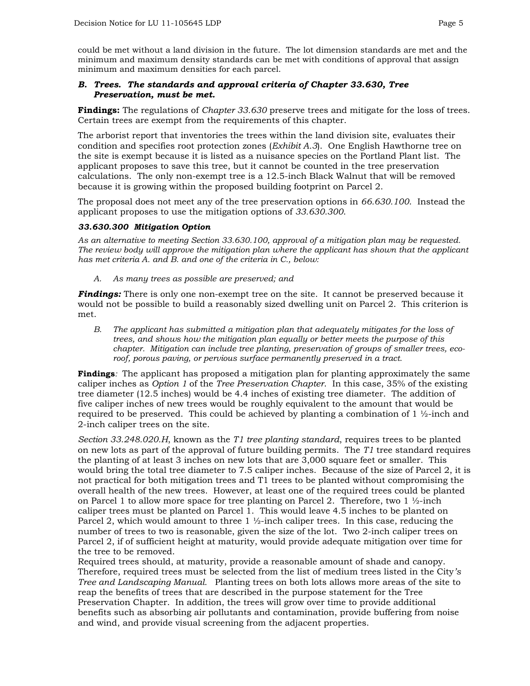could be met without a land division in the future. The lot dimension standards are met and the minimum and maximum density standards can be met with conditions of approval that assign minimum and maximum densities for each parcel.

#### *B. Trees. The standards and approval criteria of Chapter 33.630, Tree Preservation, must be met.*

**Findings:** The regulations of *Chapter 33.630* preserve trees and mitigate for the loss of trees. Certain trees are exempt from the requirements of this chapter.

The arborist report that inventories the trees within the land division site, evaluates their condition and specifies root protection zones (*Exhibit A.3*). One English Hawthorne tree on the site is exempt because it is listed as a nuisance species on the Portland Plant list. The applicant proposes to save this tree, but it cannot be counted in the tree preservation calculations. The only non-exempt tree is a 12.5-inch Black Walnut that will be removed because it is growing within the proposed building footprint on Parcel 2.

The proposal does not meet any of the tree preservation options in *66.630.100*. Instead the applicant proposes to use the mitigation options of *33.630.300*.

## *33.630.300 Mitigation Option*

*As an alternative to meeting Section 33.630.100, approval of a mitigation plan may be requested. The review body will approve the mitigation plan where the applicant has shown that the applicant has met criteria A. and B. and one of the criteria in C., below:* 

*A. As many trees as possible are preserved; and* 

*Findings:* There is only one non-exempt tree on the site. It cannot be preserved because it would not be possible to build a reasonably sized dwelling unit on Parcel 2. This criterion is met.

*B. The applicant has submitted a mitigation plan that adequately mitigates for the loss of trees, and shows how the mitigation plan equally or better meets the purpose of this chapter. Mitigation can include tree planting, preservation of groups of smaller trees, ecoroof, porous paving, or pervious surface permanently preserved in a tract.* 

**Findings***:* The applicant has proposed a mitigation plan for planting approximately the same caliper inches as *Option 1* of the *Tree Preservation Chapter*. In this case, 35% of the existing tree diameter (12.5 inches) would be 4.4 inches of existing tree diameter. The addition of five caliper inches of new trees would be roughly equivalent to the amount that would be required to be preserved. This could be achieved by planting a combination of  $1 \frac{1}{2}$ -inch and 2-inch caliper trees on the site.

*Section 33.248.020.H*, known as the *T1 tree planting standard*, requires trees to be planted on new lots as part of the approval of future building permits. The *T1* tree standard requires the planting of at least 3 inches on new lots that are 3,000 square feet or smaller. This would bring the total tree diameter to 7.5 caliper inches. Because of the size of Parcel 2, it is not practical for both mitigation trees and T1 trees to be planted without compromising the overall health of the new trees. However, at least one of the required trees could be planted on Parcel 1 to allow more space for tree planting on Parcel 2. Therefore, two 1  $\frac{1}{2}$ -inch caliper trees must be planted on Parcel 1. This would leave 4.5 inches to be planted on Parcel 2, which would amount to three  $1 \frac{1}{2}$ -inch caliper trees. In this case, reducing the number of trees to two is reasonable, given the size of the lot. Two 2-inch caliper trees on Parcel 2, if of sufficient height at maturity, would provide adequate mitigation over time for the tree to be removed.

Required trees should, at maturity, provide a reasonable amount of shade and canopy. Therefore, required trees must be selected from the list of medium trees listed in the City*'s Tree and Landscaping Manual.* Planting trees on both lots allows more areas of the site to reap the benefits of trees that are described in the purpose statement for the Tree Preservation Chapter. In addition, the trees will grow over time to provide additional benefits such as absorbing air pollutants and contamination, provide buffering from noise and wind, and provide visual screening from the adjacent properties.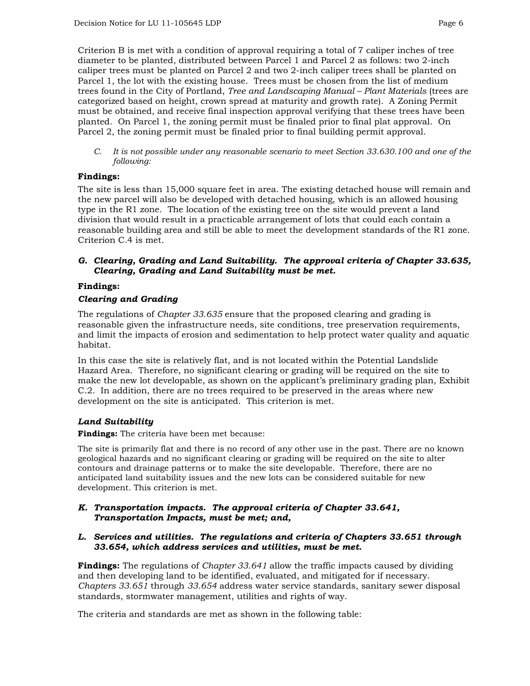Criterion B is met with a condition of approval requiring a total of 7 caliper inches of tree diameter to be planted, distributed between Parcel 1 and Parcel 2 as follows: two 2-inch caliper trees must be planted on Parcel 2 and two 2-inch caliper trees shall be planted on Parcel 1, the lot with the existing house. Trees must be chosen from the list of medium trees found in the City of Portland, *Tree and Landscaping Manual – Plant Materials* (trees are categorized based on height, crown spread at maturity and growth rate). A Zoning Permit must be obtained, and receive final inspection approval verifying that these trees have been planted. On Parcel 1, the zoning permit must be finaled prior to final plat approval. On Parcel 2, the zoning permit must be finaled prior to final building permit approval.

*C. It is not possible under any reasonable scenario to meet Section 33.630.100 and one of the following:* 

## **Findings:**

The site is less than 15,000 square feet in area. The existing detached house will remain and the new parcel will also be developed with detached housing, which is an allowed housing type in the R1 zone. The location of the existing tree on the site would prevent a land division that would result in a practicable arrangement of lots that could each contain a reasonable building area and still be able to meet the development standards of the R1 zone. Criterion C.4 is met.

## *G. Clearing, Grading and Land Suitability. The approval criteria of Chapter 33.635, Clearing, Grading and Land Suitability must be met.*

## **Findings:**

## *Clearing and Grading*

The regulations of *Chapter 33.635* ensure that the proposed clearing and grading is reasonable given the infrastructure needs, site conditions, tree preservation requirements, and limit the impacts of erosion and sedimentation to help protect water quality and aquatic habitat.

In this case the site is relatively flat, and is not located within the Potential Landslide Hazard Area. Therefore, no significant clearing or grading will be required on the site to make the new lot developable, as shown on the applicant's preliminary grading plan, Exhibit C.2. In addition, there are no trees required to be preserved in the areas where new development on the site is anticipated. This criterion is met.

## *Land Suitability*

**Findings:** The criteria have been met because:

The site is primarily flat and there is no record of any other use in the past. There are no known geological hazards and no significant clearing or grading will be required on the site to alter contours and drainage patterns or to make the site developable. Therefore, there are no anticipated land suitability issues and the new lots can be considered suitable for new development. This criterion is met.

## *K. Transportation impacts. The approval criteria of Chapter 33.641, Transportation Impacts, must be met; and,*

## *L. Services and utilities. The regulations and criteria of Chapters 33.651 through 33.654, which address services and utilities, must be met.*

**Findings:** The regulations of *Chapter 33.641* allow the traffic impacts caused by dividing and then developing land to be identified, evaluated, and mitigated for if necessary. *Chapters 33.651* through *33.654* address water service standards, sanitary sewer disposal standards, stormwater management, utilities and rights of way.

The criteria and standards are met as shown in the following table: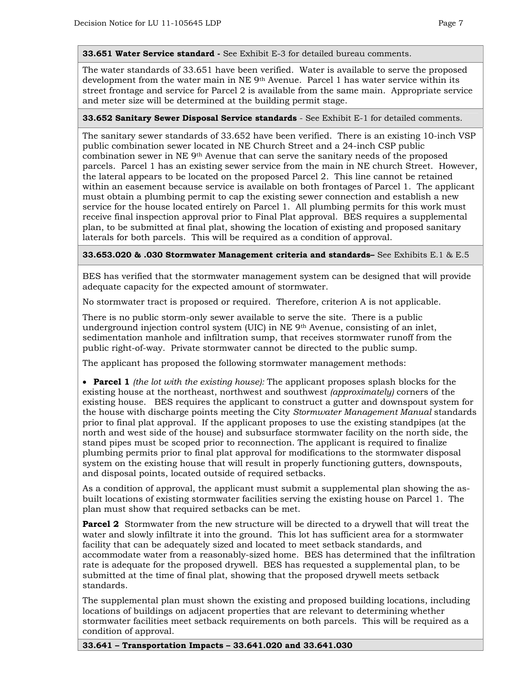**33.651 Water Service standard -** See Exhibit E-3 for detailed bureau comments.

The water standards of 33.651 have been verified. Water is available to serve the proposed development from the water main in  $NE 9<sup>th</sup>$  Avenue. Parcel 1 has water service within its street frontage and service for Parcel 2 is available from the same main. Appropriate service and meter size will be determined at the building permit stage.

#### **33.652 Sanitary Sewer Disposal Service standards** - See Exhibit E-1 for detailed comments.

The sanitary sewer standards of 33.652 have been verified. There is an existing 10-inch VSP public combination sewer located in NE Church Street and a 24-inch CSP public combination sewer in NE 9th Avenue that can serve the sanitary needs of the proposed parcels. Parcel 1 has an existing sewer service from the main in NE church Street. However, the lateral appears to be located on the proposed Parcel 2. This line cannot be retained within an easement because service is available on both frontages of Parcel 1. The applicant must obtain a plumbing permit to cap the existing sewer connection and establish a new service for the house located entirely on Parcel 1. All plumbing permits for this work must receive final inspection approval prior to Final Plat approval. BES requires a supplemental plan, to be submitted at final plat, showing the location of existing and proposed sanitary laterals for both parcels. This will be required as a condition of approval.

**33.653.020 & .030 Stormwater Management criteria and standards–** See Exhibits E.1 & E.5

BES has verified that the stormwater management system can be designed that will provide adequate capacity for the expected amount of stormwater.

No stormwater tract is proposed or required. Therefore, criterion A is not applicable.

There is no public storm-only sewer available to serve the site. There is a public underground injection control system (UIC) in NE 9th Avenue, consisting of an inlet, sedimentation manhole and infiltration sump, that receives stormwater runoff from the public right-of-way. Private stormwater cannot be directed to the public sump.

The applicant has proposed the following stormwater management methods:

• **Parcel 1** *(the lot with the existing house):* The applicant proposes splash blocks for the existing house at the northeast, northwest and southwest *(approximately)* corners of the existing house. BES requires the applicant to construct a gutter and downspout system for the house with discharge points meeting the City *Stormwater Management Manual* standards prior to final plat approval. If the applicant proposes to use the existing standpipes (at the north and west side of the house) and subsurface stormwater facility on the north side, the stand pipes must be scoped prior to reconnection. The applicant is required to finalize plumbing permits prior to final plat approval for modifications to the stormwater disposal system on the existing house that will result in properly functioning gutters, downspouts, and disposal points, located outside of required setbacks.

As a condition of approval, the applicant must submit a supplemental plan showing the asbuilt locations of existing stormwater facilities serving the existing house on Parcel 1. The plan must show that required setbacks can be met.

**Parcel 2** Stormwater from the new structure will be directed to a drywell that will treat the water and slowly infiltrate it into the ground. This lot has sufficient area for a stormwater facility that can be adequately sized and located to meet setback standards, and accommodate water from a reasonably-sized home. BES has determined that the infiltration rate is adequate for the proposed drywell. BES has requested a supplemental plan, to be submitted at the time of final plat, showing that the proposed drywell meets setback standards.

The supplemental plan must shown the existing and proposed building locations, including locations of buildings on adjacent properties that are relevant to determining whether stormwater facilities meet setback requirements on both parcels. This will be required as a condition of approval.

#### **33.641 – Transportation Impacts – 33.641.020 and 33.641.030**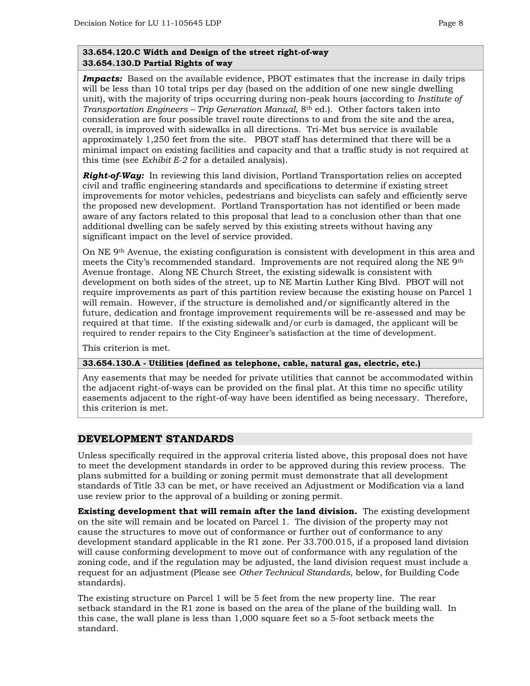## **33.654.120.C Width and Design of the street right-of-way 33.654.130.D Partial Rights of way**

**Impacts:** Based on the available evidence, PBOT estimates that the increase in daily trips will be less than 10 total trips per day (based on the addition of one new single dwelling unit), with the majority of trips occurring during non-peak hours (according to *Institute of Transportation Engineers – Trip Generation Manual*, 8th ed.). Other factors taken into consideration are four possible travel route directions to and from the site and the area, overall, is improved with sidewalks in all directions. Tri-Met bus service is available approximately 1,250 feet from the site. PBOT staff has determined that there will be a minimal impact on existing facilities and capacity and that a traffic study is not required at this time (see *Exhibit E-2* for a detailed analysis).

*Right-of-Way:* In reviewing this land division, Portland Transportation relies on accepted civil and traffic engineering standards and specifications to determine if existing street improvements for motor vehicles, pedestrians and bicyclists can safely and efficiently serve the proposed new development. Portland Transportation has not identified or been made aware of any factors related to this proposal that lead to a conclusion other than that one additional dwelling can be safely served by this existing streets without having any significant impact on the level of service provided.

On NE 9th Avenue, the existing configuration is consistent with development in this area and meets the City's recommended standard. Improvements are not required along the NE 9th Avenue frontage. Along NE Church Street, the existing sidewalk is consistent with development on both sides of the street, up to NE Martin Luther King Blvd. PBOT will not require improvements as part of this partition review because the existing house on Parcel 1 will remain. However, if the structure is demolished and/or significantly altered in the future, dedication and frontage improvement requirements will be re-assessed and may be required at that time. If the existing sidewalk and/or curb is damaged, the applicant will be required to render repairs to the City Engineer's satisfaction at the time of development.

This criterion is met.

#### **33.654.130.A - Utilities (defined as telephone, cable, natural gas, electric, etc.)**

Any easements that may be needed for private utilities that cannot be accommodated within the adjacent right-of-ways can be provided on the final plat. At this time no specific utility easements adjacent to the right-of-way have been identified as being necessary. Therefore, this criterion is met.

# **DEVELOPMENT STANDARDS**

Unless specifically required in the approval criteria listed above, this proposal does not have to meet the development standards in order to be approved during this review process. The plans submitted for a building or zoning permit must demonstrate that all development standards of Title 33 can be met, or have received an Adjustment or Modification via a land use review prior to the approval of a building or zoning permit.

**Existing development that will remain after the land division.** The existing development on the site will remain and be located on Parcel 1. The division of the property may not cause the structures to move out of conformance or further out of conformance to any development standard applicable in the R1 zone. Per 33.700.015, if a proposed land division will cause conforming development to move out of conformance with any regulation of the zoning code, and if the regulation may be adjusted, the land division request must include a request for an adjustment (Please see *Other Technical Standards*, below, for Building Code standards).

The existing structure on Parcel 1 will be 5 feet from the new property line. The rear setback standard in the R1 zone is based on the area of the plane of the building wall. In this case, the wall plane is less than 1,000 square feet so a 5-foot setback meets the standard.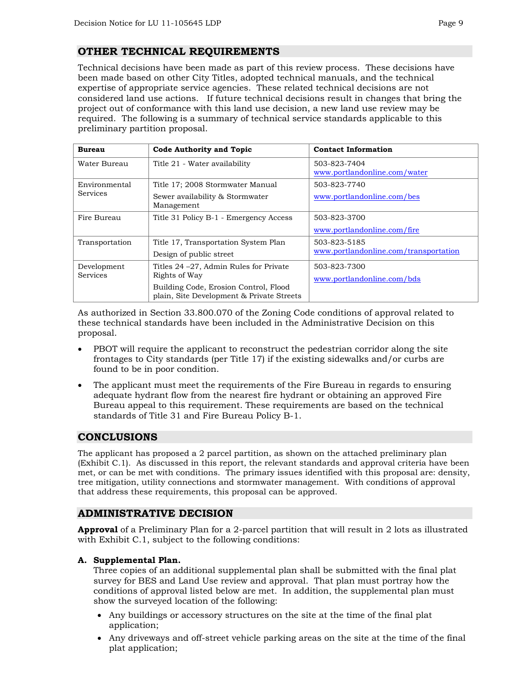Technical decisions have been made as part of this review process. These decisions have been made based on other City Titles, adopted technical manuals, and the technical expertise of appropriate service agencies. These related technical decisions are not considered land use actions. If future technical decisions result in changes that bring the project out of conformance with this land use decision, a new land use review may be required. The following is a summary of technical service standards applicable to this preliminary partition proposal.

| <b>Bureau</b>             | <b>Code Authority and Topic</b>                                                                   | <b>Contact Information</b>                            |
|---------------------------|---------------------------------------------------------------------------------------------------|-------------------------------------------------------|
| Water Bureau              | Title 21 - Water availability                                                                     | 503-823-7404<br>www.portlandonline.com/water          |
| Environmental<br>Services | Title 17; 2008 Stormwater Manual<br>Sewer availability & Stormwater<br>Management                 | 503-823-7740<br>www.portlandonline.com/bes            |
| Fire Bureau               | Title 31 Policy B-1 - Emergency Access                                                            | 503-823-3700<br>www.portlandonline.com/fire           |
| Transportation            | Title 17, Transportation System Plan<br>Design of public street                                   | 503-823-5185<br>www.portlandonline.com/transportation |
| Development<br>Services   | Titles 24 – 27, Admin Rules for Private<br>Rights of Way<br>Building Code, Erosion Control, Flood | 503-823-7300<br>www.portlandonline.com/bds            |
|                           | plain, Site Development & Private Streets                                                         |                                                       |

As authorized in Section 33.800.070 of the Zoning Code conditions of approval related to these technical standards have been included in the Administrative Decision on this proposal.

- PBOT will require the applicant to reconstruct the pedestrian corridor along the site frontages to City standards (per Title 17) if the existing sidewalks and/or curbs are found to be in poor condition.
- The applicant must meet the requirements of the Fire Bureau in regards to ensuring adequate hydrant flow from the nearest fire hydrant or obtaining an approved Fire Bureau appeal to this requirement. These requirements are based on the technical standards of Title 31 and Fire Bureau Policy B-1.

# **CONCLUSIONS**

The applicant has proposed a 2 parcel partition, as shown on the attached preliminary plan (Exhibit C.1). As discussed in this report, the relevant standards and approval criteria have been met, or can be met with conditions. The primary issues identified with this proposal are: density, tree mitigation, utility connections and stormwater management. With conditions of approval that address these requirements, this proposal can be approved.

# **ADMINISTRATIVE DECISION**

**Approval** of a Preliminary Plan for a 2-parcel partition that will result in 2 lots as illustrated with Exhibit C.1, subject to the following conditions:

# **A. Supplemental Plan.**

Three copies of an additional supplemental plan shall be submitted with the final plat survey for BES and Land Use review and approval. That plan must portray how the conditions of approval listed below are met. In addition, the supplemental plan must show the surveyed location of the following:

- Any buildings or accessory structures on the site at the time of the final plat application;
- Any driveways and off-street vehicle parking areas on the site at the time of the final plat application;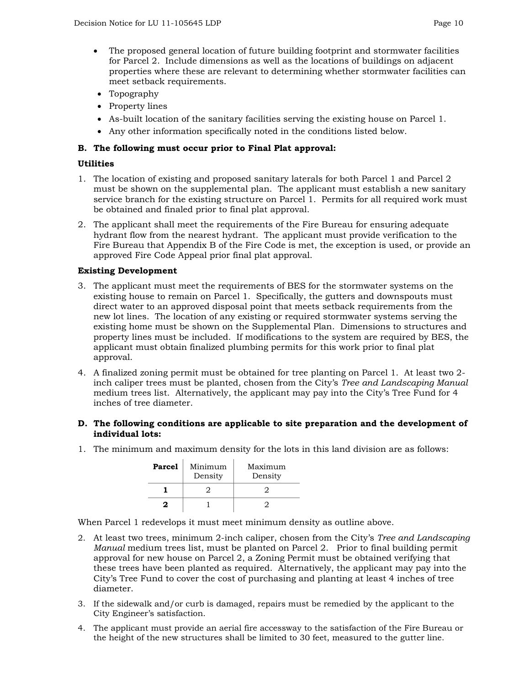- The proposed general location of future building footprint and stormwater facilities for Parcel 2. Include dimensions as well as the locations of buildings on adjacent properties where these are relevant to determining whether stormwater facilities can meet setback requirements.
- Topography
- Property lines
- As-built location of the sanitary facilities serving the existing house on Parcel 1.
- Any other information specifically noted in the conditions listed below.

## **B. The following must occur prior to Final Plat approval:**

## **Utilities**

- 1. The location of existing and proposed sanitary laterals for both Parcel 1 and Parcel 2 must be shown on the supplemental plan. The applicant must establish a new sanitary service branch for the existing structure on Parcel 1. Permits for all required work must be obtained and finaled prior to final plat approval.
- 2. The applicant shall meet the requirements of the Fire Bureau for ensuring adequate hydrant flow from the nearest hydrant. The applicant must provide verification to the Fire Bureau that Appendix B of the Fire Code is met, the exception is used, or provide an approved Fire Code Appeal prior final plat approval.

## **Existing Development**

- 3. The applicant must meet the requirements of BES for the stormwater systems on the existing house to remain on Parcel 1. Specifically, the gutters and downspouts must direct water to an approved disposal point that meets setback requirements from the new lot lines. The location of any existing or required stormwater systems serving the existing home must be shown on the Supplemental Plan. Dimensions to structures and property lines must be included. If modifications to the system are required by BES, the applicant must obtain finalized plumbing permits for this work prior to final plat approval.
- 4. A finalized zoning permit must be obtained for tree planting on Parcel 1. At least two 2 inch caliper trees must be planted, chosen from the City's *Tree and Landscaping Manual* medium trees list. Alternatively, the applicant may pay into the City's Tree Fund for 4 inches of tree diameter.

## **D. The following conditions are applicable to site preparation and the development of individual lots:**

1. The minimum and maximum density for the lots in this land division are as follows:

| Minimum<br>Parcel<br>Density |  | Maximum<br>Density |  |
|------------------------------|--|--------------------|--|
|                              |  |                    |  |
|                              |  |                    |  |

When Parcel 1 redevelops it must meet minimum density as outline above.

- 2. At least two trees, minimum 2-inch caliper, chosen from the City's *Tree and Landscaping Manual* medium trees list, must be planted on Parcel 2. Prior to final building permit approval for new house on Parcel 2, a Zoning Permit must be obtained verifying that these trees have been planted as required. Alternatively, the applicant may pay into the City's Tree Fund to cover the cost of purchasing and planting at least 4 inches of tree diameter.
- 3. If the sidewalk and/or curb is damaged, repairs must be remedied by the applicant to the City Engineer's satisfaction.
- 4. The applicant must provide an aerial fire accessway to the satisfaction of the Fire Bureau or the height of the new structures shall be limited to 30 feet, measured to the gutter line.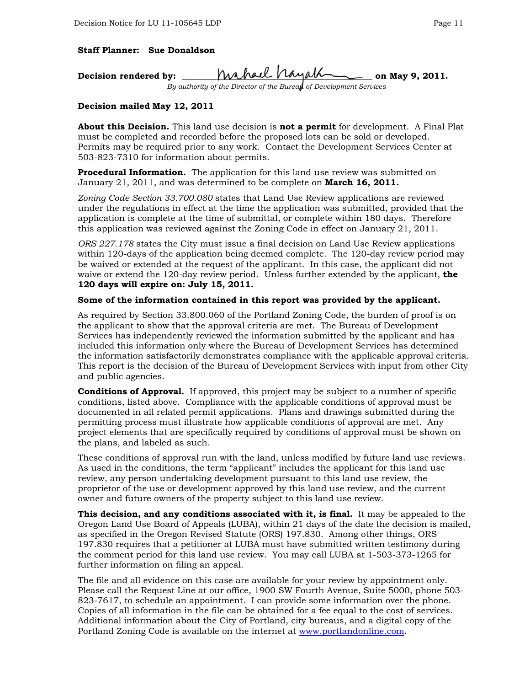#### **Staff Planner: Sue Donaldson**

| Decision rendered by: | mahael hayak                                                       | on May 9, 2011. |
|-----------------------|--------------------------------------------------------------------|-----------------|
|                       | By gutherity of the Director of the Bureau of Douglasment Services |                 |

*By authority of the Director of the Bureau of Development Services* 

#### **Decision mailed May 12, 2011**

**About this Decision.** This land use decision is **not a permit** for development. A Final Plat must be completed and recorded before the proposed lots can be sold or developed. Permits may be required prior to any work. Contact the Development Services Center at 503-823-7310 for information about permits.

**Procedural Information.** The application for this land use review was submitted on January 21, 2011, and was determined to be complete on **March 16, 2011.**

*Zoning Code Section 33.700.080* states that Land Use Review applications are reviewed under the regulations in effect at the time the application was submitted, provided that the application is complete at the time of submittal, or complete within 180 days. Therefore this application was reviewed against the Zoning Code in effect on January 21, 2011.

*ORS 227.178* states the City must issue a final decision on Land Use Review applications within 120-days of the application being deemed complete. The 120-day review period may be waived or extended at the request of the applicant. In this case, the applicant did not waive or extend the 120-day review period. Unless further extended by the applicant, **the 120 days will expire on: July 15, 2011.**

#### **Some of the information contained in this report was provided by the applicant.**

As required by Section 33.800.060 of the Portland Zoning Code, the burden of proof is on the applicant to show that the approval criteria are met. The Bureau of Development Services has independently reviewed the information submitted by the applicant and has included this information only where the Bureau of Development Services has determined the information satisfactorily demonstrates compliance with the applicable approval criteria. This report is the decision of the Bureau of Development Services with input from other City and public agencies.

**Conditions of Approval.** If approved, this project may be subject to a number of specific conditions, listed above. Compliance with the applicable conditions of approval must be documented in all related permit applications. Plans and drawings submitted during the permitting process must illustrate how applicable conditions of approval are met. Any project elements that are specifically required by conditions of approval must be shown on the plans, and labeled as such.

These conditions of approval run with the land, unless modified by future land use reviews. As used in the conditions, the term "applicant" includes the applicant for this land use review, any person undertaking development pursuant to this land use review, the proprietor of the use or development approved by this land use review, and the current owner and future owners of the property subject to this land use review.

**This decision, and any conditions associated with it, is final.** It may be appealed to the Oregon Land Use Board of Appeals (LUBA), within 21 days of the date the decision is mailed, as specified in the Oregon Revised Statute (ORS) 197.830. Among other things, ORS 197.830 requires that a petitioner at LUBA must have submitted written testimony during the comment period for this land use review. You may call LUBA at 1-503-373-1265 for further information on filing an appeal.

The file and all evidence on this case are available for your review by appointment only. Please call the Request Line at our office, 1900 SW Fourth Avenue, Suite 5000, phone 503- 823-7617, to schedule an appointment. I can provide some information over the phone. Copies of all information in the file can be obtained for a fee equal to the cost of services. Additional information about the City of Portland, city bureaus, and a digital copy of the Portland Zoning Code is available on the internet at [www.portlandonline.com](http://www.portlandonline.com/).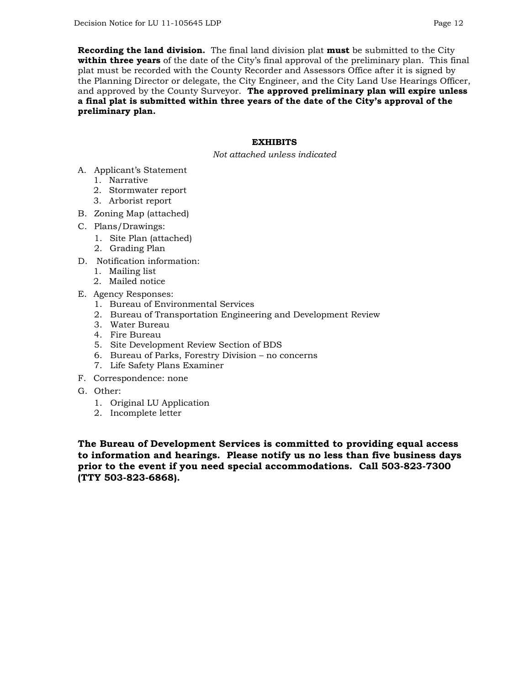**Recording the land division.** The final land division plat **must** be submitted to the City **within three years** of the date of the City's final approval of the preliminary plan. This final plat must be recorded with the County Recorder and Assessors Office after it is signed by the Planning Director or delegate, the City Engineer, and the City Land Use Hearings Officer, and approved by the County Surveyor. **The approved preliminary plan will expire unless a final plat is submitted within three years of the date of the City's approval of the preliminary plan.** 

## **EXHIBITS**

*Not attached unless indicated* 

- A. Applicant's Statement
	- 1. Narrative
	- 2. Stormwater report
	- 3. Arborist report
- B. Zoning Map (attached)
- C. Plans/Drawings:
	- 1. Site Plan (attached)
	- 2. Grading Plan
- D. Notification information:
	- 1. Mailing list
	- 2. Mailed notice
- E. Agency Responses:
	- 1. Bureau of Environmental Services
	- 2. Bureau of Transportation Engineering and Development Review
	- 3. Water Bureau
	- 4. Fire Bureau
	- 5. Site Development Review Section of BDS
	- 6. Bureau of Parks, Forestry Division no concerns
	- 7. Life Safety Plans Examiner
- F. Correspondence: none
- G. Other:
	- 1. Original LU Application
	- 2. Incomplete letter

**The Bureau of Development Services is committed to providing equal access to information and hearings. Please notify us no less than five business days prior to the event if you need special accommodations. Call 503-823-7300 (TTY 503-823-6868).**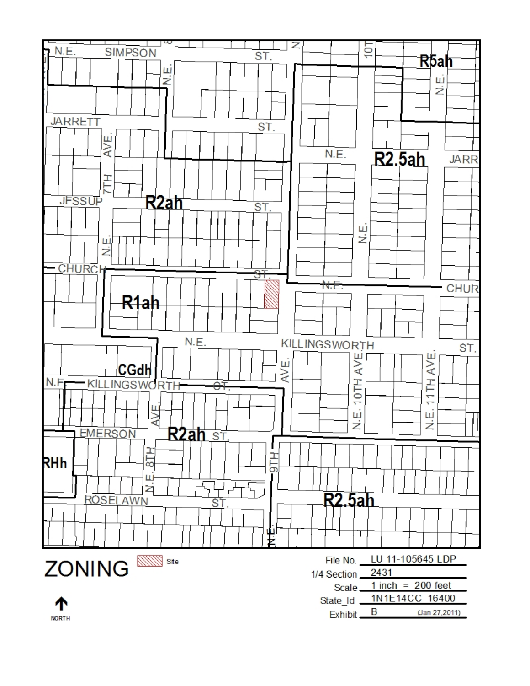